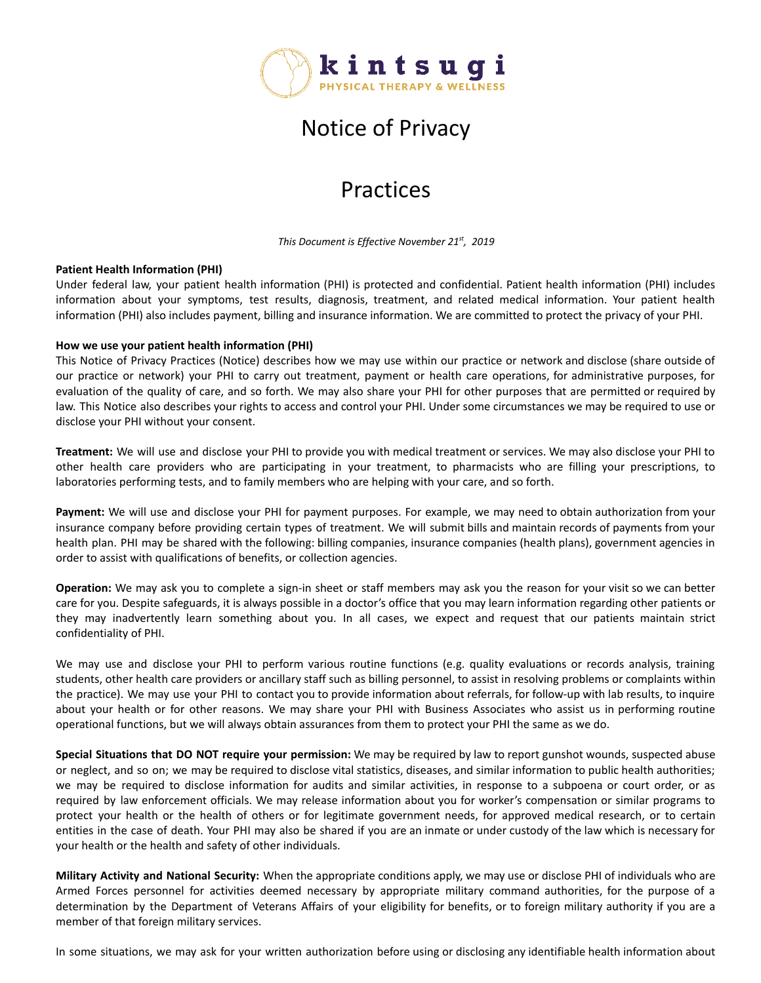

## Notice of Privacy

## Practices

*This Document is Effective November 21st , 2019*

## **Patient Health Information (PHI)**

Under federal law, your patient health information (PHI) is protected and confidential. Patient health information (PHI) includes information about your symptoms, test results, diagnosis, treatment, and related medical information. Your patient health information (PHI) also includes payment, billing and insurance information. We are committed to protect the privacy of your PHI.

## **How we use your patient health information (PHI)**

This Notice of Privacy Practices (Notice) describes how we may use within our practice or network and disclose (share outside of our practice or network) your PHI to carry out treatment, payment or health care operations, for administrative purposes, for evaluation of the quality of care, and so forth. We may also share your PHI for other purposes that are permitted or required by law. This Notice also describes your rights to access and control your PHI. Under some circumstances we may be required to use or disclose your PHI without your consent.

**Treatment:** We will use and disclose your PHI to provide you with medical treatment or services. We may also disclose your PHI to other health care providers who are participating in your treatment, to pharmacists who are filling your prescriptions, to laboratories performing tests, and to family members who are helping with your care, and so forth.

**Payment:** We will use and disclose your PHI for payment purposes. For example, we may need to obtain authorization from your insurance company before providing certain types of treatment. We will submit bills and maintain records of payments from your health plan. PHI may be shared with the following: billing companies, insurance companies (health plans), government agencies in order to assist with qualifications of benefits, or collection agencies.

**Operation:** We may ask you to complete a sign-in sheet or staff members may ask you the reason for your visit so we can better care for you. Despite safeguards, it is always possible in a doctor's office that you may learn information regarding other patients or they may inadvertently learn something about you. In all cases, we expect and request that our patients maintain strict confidentiality of PHI.

We may use and disclose your PHI to perform various routine functions (e.g. quality evaluations or records analysis, training students, other health care providers or ancillary staff such as billing personnel, to assist in resolving problems or complaints within the practice). We may use your PHI to contact you to provide information about referrals, for follow-up with lab results, to inquire about your health or for other reasons. We may share your PHI with Business Associates who assist us in performing routine operational functions, but we will always obtain assurances from them to protect your PHI the same as we do.

**Special Situations that DO NOT require your permission:** We may be required by law to report gunshot wounds, suspected abuse or neglect, and so on; we may be required to disclose vital statistics, diseases, and similar information to public health authorities; we may be required to disclose information for audits and similar activities, in response to a subpoena or court order, or as required by law enforcement officials. We may release information about you for worker's compensation or similar programs to protect your health or the health of others or for legitimate government needs, for approved medical research, or to certain entities in the case of death. Your PHI may also be shared if you are an inmate or under custody of the law which is necessary for your health or the health and safety of other individuals.

**Military Activity and National Security:** When the appropriate conditions apply, we may use or disclose PHI of individuals who are Armed Forces personnel for activities deemed necessary by appropriate military command authorities, for the purpose of a determination by the Department of Veterans Affairs of your eligibility for benefits, or to foreign military authority if you are a member of that foreign military services.

In some situations, we may ask for your written authorization before using or disclosing any identifiable health information about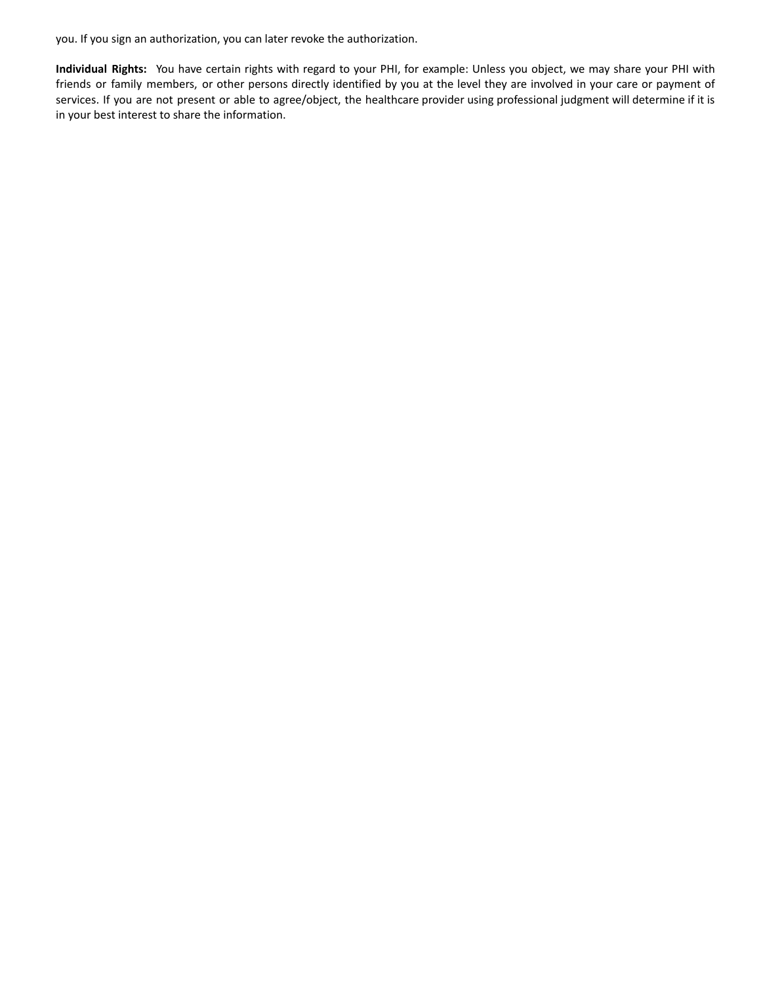you. If you sign an authorization, you can later revoke the authorization.

**Individual Rights:** You have certain rights with regard to your PHI, for example: Unless you object, we may share your PHI with friends or family members, or other persons directly identified by you at the level they are involved in your care or payment of services. If you are not present or able to agree/object, the healthcare provider using professional judgment will determine if it is in your best interest to share the information.